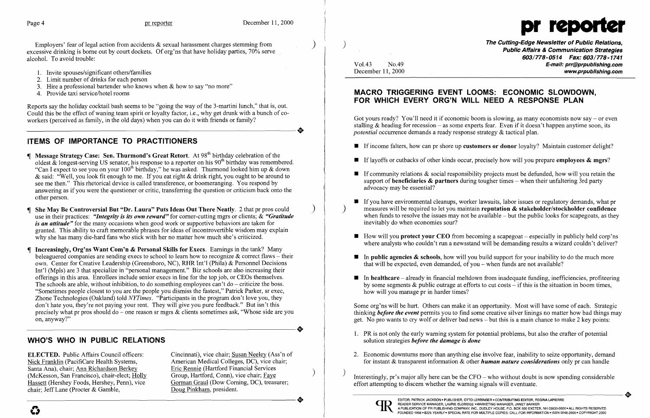

Employers' fear of legal action from accidents  $\&$  sexual harassment charges stemming from excessive drinking is borne out by court dockets. Of org'ns that have holiday parties, 70% serve alcohol. To avoid trouble:

- 1. Invite spouses/significant others/families
- 2. Limit number of drinks for each person
- 3. Hire a professional bartender who knows when  $&$  how to say "no more"
- 4. Provide taxi service/hotel rooms

Reports say the holiday cocktail bash seems to be "going the way of the 3-martini lunch," that is, out. Could this be the effect of waning team spirit or loyalty factor, i.e., why get drunk with a bunch of co-workers (perceived as family, in the old days) when you can do it with friends or family? workers (perceived as family, in the old days) when you can do it with friends or family?

# ITEMS OF IMPORTANCE TO PRACTITIONERS

- **Message Strategy Case: Sen. Thurmond's Great Retort.** At  $98<sup>th</sup>$  birthday celebration of the oldest  $\&$  longest-serving US senator, his response to a reporter on his 90<sup>th</sup> birthday was remembered. "Can I expect to see you on your  $100<sup>th</sup>$  birthday," he was asked. Thurmond looked him up & down & said: "Well, you look fit enough to me. If you eat right & drink right, you ought to be around to see me then." This rhetorical device is called transference, or boomeranging. You respond by answering as if you were the questioner or critic, transferring the question or criticism back onto the other person.
- She May Be Controversial But "Dr. Laura" Puts Ideas Out There Neatly. 2 that pr pros could ) use in their practices: *"Integrity is its own reward"* for corner-cutting mgrs or clients; & *"Gratitude is an attitude"* for the many occasions when good work or supportive behaviors are taken for granted. This ability to craft memorable phrases for ideas of incontrovertible wisdom may explain why she has many die-hard fans who stick with her no matter how much she's criticized.
- Increasingly, Org'ns Want Com'n & Personal Skills for Execs. Earnings in the tank? Many beleaguered companies are sending execs to school to learn how to recognize  $&$  correct flaws – their own. Center for Creative Leadership (Greensboro, NC), RHR Int'l (Phila) & Personnel Decisions Int'I (Mpls) are 3 that specialize in "personal management." Biz schools are also increasing their offerings in this area. Enrollees include senior execs in line for the top job, or CEOs themselves. The schools are able, without inhibition, to do something employees can't do – criticize the boss. "Sometimes people closest to you are the people you dismiss the fastest," Patrick Parker, sr exec, Zhone Technologies (Oakland) told *NYTimes.* "Participants in the program don't love you, they don't hate you, they're not paying your rent. They will give you pure feedback." But isn't this precisely what pr pros should do – one reason sr mgrs & clients sometimes ask, "Whose side are you on, anyway?" on, anyway?"

The Cutting-Edge Newsletter of Public Relations, ) Public Affairs & Communication Strategies 603/778-0514 Fax: 603/778-1741 E-mail: prr@prpublishing.com www.prpublishing.com

**•** If income falters, how can pr shore up **customers or donor** loyalty? Maintain customer delight?

 $\blacksquare$  If layoffs or cutbacks of other kinds occur, precisely how will you prepare employees  $\&$  mgrs?

 $\blacksquare$  If community relations & social responsibility projects must be defunded, how will you retain the support of **beneficiaries & partners** during tougher times  $-$  when their unfaltering 3rd party

 $\blacksquare$  If you have environmental cleanups, worker lawsuits, labor issues or regulatory demands, what pr measures will be required to let you maintain reputation  $\&$  stakeholder/stockholder confidence when funds to resolve the issues may not be available  $-$  but the public looks for scapegoats, as they

 $\blacksquare$  How will you protect your CEO from becoming a scapegoat – especially in publicly held corp'ns where analysts who couldn't run a newsstand will be demanding results a wizard couldn't deliver?

 $\blacksquare$  In public agencies & schools, how will you build support for your inability to do the much more

 $\blacksquare$  In healthcare – already in financial meltdown from inadequate funding, inefficiencies, profiteering by some segments  $\&$  public outrage at efforts to cut costs – if this is the situation in boom times,

Got yours ready? You'll need it if economic boom is slowing, as many economists now say  $-$  or even stalling  $&$  heading for recession – as some experts fear. Even if it doesn't happen anytime soon, its *potential* occurrence demands a ready response strategy & tactical plan.

## WHO'S WHO IN PUBLIC RELATIONS

ELECTED. Public Affairs Council officers: Cincinnati), vice chair; Susan Neeley (Ass'n of Nick Franklin (PacifiCare Health Systems, American Medical Colleges, DC), vice chair; Nick Franklin (PacifiCare Health Systems, American Medical Colleges, DC), vice chair: Ann Richardson Berkey<br>
Santa Ana), chair: Ann Richardson Berkey Eric Rennie (Hartford Financial Services Santa Ana), chair; Ann Richardson Berkey Eric Rennie (Hartford Financial Services (McKesson, San Francisco), chair-elect; Holly Group, Hartford, Conn), vice chair; Faye Hassett (Hershey Foods, Hershey, Penn), vice Corman G chair; Jeff Lane (Procter & Gamble, Doug Pinkham, president. Hassett (Hershey Foods, Hershey, Penn), vice Gorman Graul (Dow Corning, DC), treasurer;<br>
chair; Jeff Lane (Procter & Gamble, Doug Pinkham, president.

Gorman Graul (Dow Corning, DC), treasurer;

| Vol.43            | No.49 |
|-------------------|-------|
| December 11, 2000 |       |

2. Economic downturns more than anything else involve fear, inability to seize opportunity, demand for instant & transparent information & other *human nature considerations* only pr can handle

Interestingly, pr's major ally here can be the CFO - who without doubt is now spending considerable<br>  $\bullet$ <br>  $\bullet$ <br>  $\bullet$ <br>  $\bullet$ <br>  $\bullet$ <br>  $\bullet$ effort attempting to discern whether the warning signals will eventuate.

## MACRO TRIGGERING EVENT LOOMS: ECONOMIC SLOWDOWN, FOR WHICH EVERY ORG'N WILL NEED A RESPONSE PLAN

- 
- 
- advocacy may be essential?
- inevitably do when economies sour?
- 
- that will be expected, even demanded, of you  $-$  when funds are not available?
- how will you manage pr in harder times?

Some org'ns will be hurt. Others can make it an opportunity. Most will have some of each. Strategic thinking *before the event* permits you to find some creative silver linings no matter how bad things may get. No pro wants to cry wolf or deliver bad news - but this is a main chance to make 2 key points:

- 1. PR is not only the early warning system for potential problems, but also the crafter of potential solution strategies *before the damage is done*
-